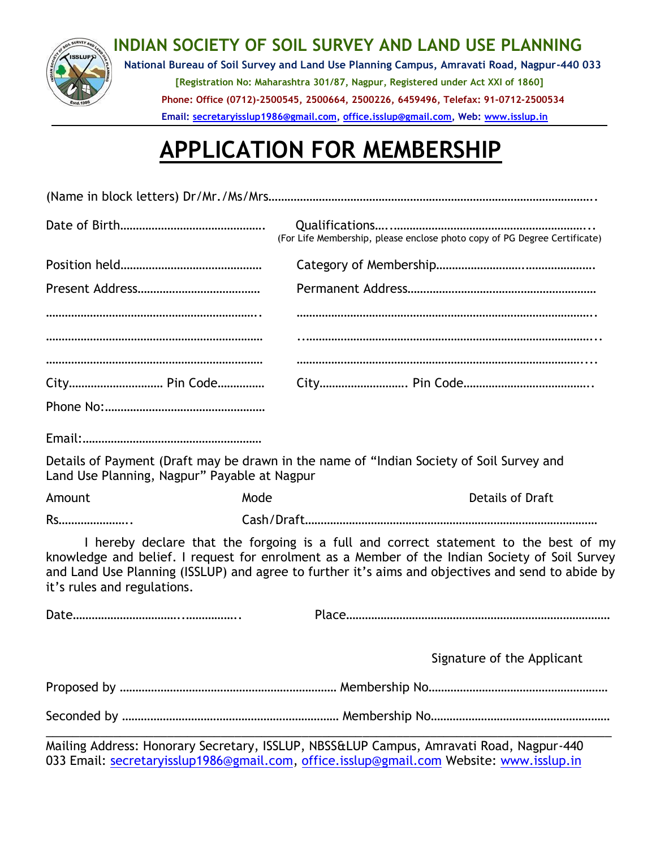

## **INDIAN SOCIETY OF SOIL SURVEY AND LAND USE PLANNING**

**National Bureau of Soil Survey and Land Use Planning Campus, Amravati Road, Nagpur-440 033 [Registration No: Maharashtra 301/87, Nagpur, Registered under Act XXI of 1860] Phone: Office (0712)-2500545, 2500664, 2500226, 6459496, Telefax: 91-0712-2500534 Email: [secretaryisslup1986@gmail.com,](mailto:secretaryisslup1986@gmail.com) [office.isslup@gmail.com,](mailto:office.isslup@gmail.com) Web: [www.isslup.in](http://www.isslup.in/)**

## **APPLICATION FOR MEMBERSHIP**

|                             |                                              | (For Life Membership, please enclose photo copy of PG Degree Certificate)                                                                                                                                                                                                                   |  |  |  |  |
|-----------------------------|----------------------------------------------|---------------------------------------------------------------------------------------------------------------------------------------------------------------------------------------------------------------------------------------------------------------------------------------------|--|--|--|--|
|                             |                                              |                                                                                                                                                                                                                                                                                             |  |  |  |  |
|                             |                                              |                                                                                                                                                                                                                                                                                             |  |  |  |  |
|                             |                                              |                                                                                                                                                                                                                                                                                             |  |  |  |  |
|                             |                                              |                                                                                                                                                                                                                                                                                             |  |  |  |  |
|                             |                                              |                                                                                                                                                                                                                                                                                             |  |  |  |  |
|                             | City Pin Code                                |                                                                                                                                                                                                                                                                                             |  |  |  |  |
|                             |                                              |                                                                                                                                                                                                                                                                                             |  |  |  |  |
|                             |                                              |                                                                                                                                                                                                                                                                                             |  |  |  |  |
|                             | Land Use Planning, Nagpur" Payable at Nagpur | Details of Payment (Draft may be drawn in the name of "Indian Society of Soil Survey and                                                                                                                                                                                                    |  |  |  |  |
| Amount                      | Mode                                         | <b>Details of Draft</b>                                                                                                                                                                                                                                                                     |  |  |  |  |
| Rs                          |                                              |                                                                                                                                                                                                                                                                                             |  |  |  |  |
| it's rules and regulations. |                                              | I hereby declare that the forgoing is a full and correct statement to the best of my<br>knowledge and belief. I request for enrolment as a Member of the Indian Society of Soil Survey<br>and Land Use Planning (ISSLUP) and agree to further it's aims and objectives and send to abide by |  |  |  |  |
|                             |                                              |                                                                                                                                                                                                                                                                                             |  |  |  |  |
|                             |                                              | Signature of the Applicant                                                                                                                                                                                                                                                                  |  |  |  |  |
|                             |                                              |                                                                                                                                                                                                                                                                                             |  |  |  |  |
|                             |                                              |                                                                                                                                                                                                                                                                                             |  |  |  |  |
|                             |                                              | Mailing Address: Henerary Corretary ICCLUD NDCCGLUD Campus Amrayati Boad Nagpur 440                                                                                                                                                                                                         |  |  |  |  |

Mailing Address: Honorary Secretary, ISSLUP, NBSS&LUP Campus, Amravati Road, Nagpur-440 033 Email: [secretaryisslup1986@gmail.com,](mailto:secretaryisslup1986@gmail.com) [office.isslup@gmail.com](mailto:office.isslup@gmail.com) Website: [www.isslup.in](http://www.isslup.in/)